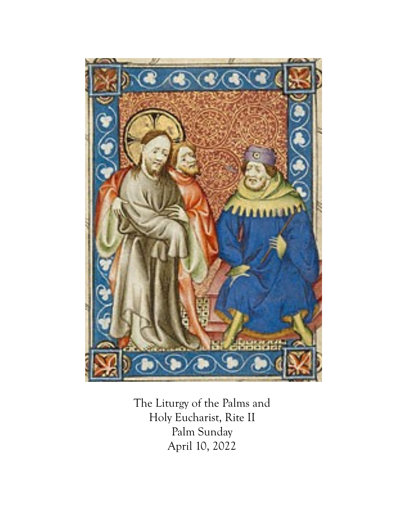

The Liturgy of the Palms and Holy Eucharist, Rite II Palm Sunday April 10, 2022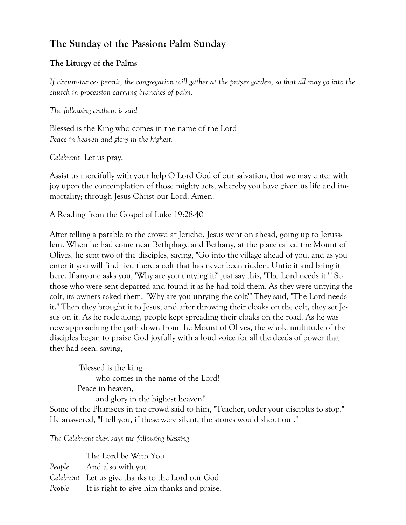## **The Sunday of the Passion: Palm Sunday**

### **The Liturgy of the Palms**

*If circumstances permit, the congregation will gather at the prayer garden, so that all may go into the church in procession carrying branches of palm.*

*The following anthem is said*

Blessed is the King who comes in the name of the Lord *Peace in heaven and glory in the highest.*

*Celebrant* Let us pray.

Assist us mercifully with your help O Lord God of our salvation, that we may enter with joy upon the contemplation of those mighty acts, whereby you have given us life and immortality; through Jesus Christ our Lord. Amen.

A Reading from the Gospel of Luke 19:28-40

After telling a parable to the crowd at Jericho, Jesus went on ahead, going up to Jerusalem. When he had come near Bethphage and Bethany, at the place called the Mount of Olives, he sent two of the disciples, saying, "Go into the village ahead of you, and as you enter it you will find tied there a colt that has never been ridden. Untie it and bring it here. If anyone asks you, 'Why are you untying it?' just say this, 'The Lord needs it.'" So those who were sent departed and found it as he had told them. As they were untying the colt, its owners asked them, "Why are you untying the colt?" They said, "The Lord needs it." Then they brought it to Jesus; and after throwing their cloaks on the colt, they set Jesus on it. As he rode along, people kept spreading their cloaks on the road. As he was now approaching the path down from the Mount of Olives, the whole multitude of the disciples began to praise God joyfully with a loud voice for all the deeds of power that they had seen, saying,

"Blessed is the king who comes in the name of the Lord! Peace in heaven,

and glory in the highest heaven!"

Some of the Pharisees in the crowd said to him, "Teacher, order your disciples to stop." He answered, "I tell you, if these were silent, the stones would shout out."

*The Celebrant then says the following blessing*

 The Lord be With You *People* And also with you. *Celebrant* Let us give thanks to the Lord our God *People* It is right to give him thanks and praise.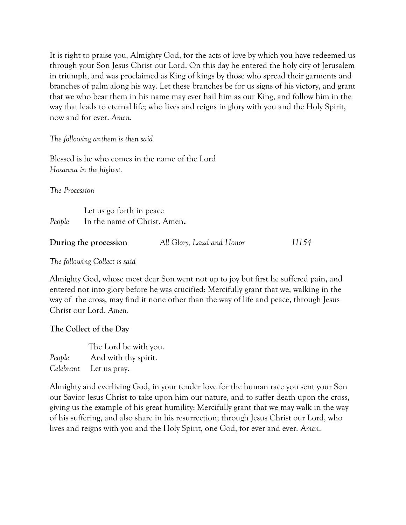It is right to praise you, Almighty God, for the acts of love by which you have redeemed us through your Son Jesus Christ our Lord. On this day he entered the holy city of Jerusalem in triumph, and was proclaimed as King of kings by those who spread their garments and branches of palm along his way. Let these branches be for us signs of his victory, and grant that we who bear them in his name may ever hail him as our King, and follow him in the way that leads to eternal life; who lives and reigns in glory with you and the Holy Spirit, now and for ever. *Amen.*

*The following anthem is then said*

Blessed is he who comes in the name of the Lord *Hosanna in the highest.*

*The Procession*

 Let us go forth in peace *People* In the name of Christ. Amen**.**

| During the procession | All Glory, Laud and Honor | H154 |
|-----------------------|---------------------------|------|
|-----------------------|---------------------------|------|

*The following Collect is said*

Almighty God, whose most dear Son went not up to joy but first he suffered pain, and entered not into glory before he was crucified: Mercifully grant that we, walking in the way of the cross, may find it none other than the way of life and peace, through Jesus Christ our Lord. *Amen.*

#### **The Collect of the Day**

 The Lord be with you. *People* And with thy spirit. *Celebrant* Let us pray.

Almighty and everliving God, in your tender love for the human race you sent your Son our Savior Jesus Christ to take upon him our nature, and to suffer death upon the cross, giving us the example of his great humility: Mercifully grant that we may walk in the way of his suffering, and also share in his resurrection; through Jesus Christ our Lord, who lives and reigns with you and the Holy Spirit, one God, for ever and ever. *Amen*.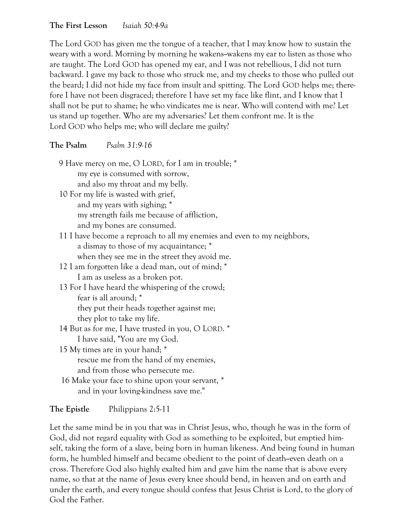#### **The First Lesson** *Isaiah 50:4-9a*

The Lord GOD has given me the tongue of a teacher, that I may know how to sustain the weary with a word. Morning by morning he wakens-wakens my ear to listen as those who are taught. The Lord GOD has opened my ear, and I was not rebellious, I did not turn backward. I gave my back to those who struck me, and my cheeks to those who pulled out the beard; I did not hide my face from insult and spitting. The Lord GOD helps me; therefore I have not been disgraced; therefore I have set my face like flint, and I know that I shall not be put to shame; he who vindicates me is near. Who will contend with me? Let us stand up together. Who are my adversaries? Let them confront me. It is the Lord GOD who helps me; who will declare me guilty?

### **The Psalm** *Psalm 31:9-16*

| 9 Have mercy on me, O LORD, for I am in trouble; *                      |
|-------------------------------------------------------------------------|
| my eye is consumed with sorrow,                                         |
| and also my throat and my belly.                                        |
| 10 For my life is wasted with grief,                                    |
| and my years with sighing; *                                            |
| my strength fails me because of affliction,                             |
| and my bones are consumed.                                              |
| 11 I have become a reproach to all my enemies and even to my neighbors, |
| a dismay to those of my acquaintance; *                                 |
| when they see me in the street they avoid me.                           |
| 12 I am forgotten like a dead man, out of mind; *                       |
| I am as useless as a broken pot.                                        |
| 13 For I have heard the whispering of the crowd;                        |
| fear is all around; *                                                   |
| they put their heads together against me;                               |
| they plot to take my life.                                              |
| 14 But as for me, I have trusted in you, O LORD. *                      |
| I have said, "You are my God.                                           |
| 15 My times are in your hand; *                                         |
| rescue me from the hand of my enemies,                                  |
| and from those who persecute me.                                        |
| 16 Make your face to shine upon your servant, *                         |
| and in your loving-kindness save me."                                   |

### **The Epistle** Philippians 2:5-11

Let the same mind be in you that was in Christ Jesus, who, though he was in the form of God, did not regard equality with God as something to be exploited, but emptied himself, taking the form of a slave, being born in human likeness. And being found in human form, he humbled himself and became obedient to the point of death--even death on a cross. Therefore God also highly exalted him and gave him the name that is above every name, so that at the name of Jesus every knee should bend, in heaven and on earth and under the earth, and every tongue should confess that Jesus Christ is Lord, to the glory of God the Father.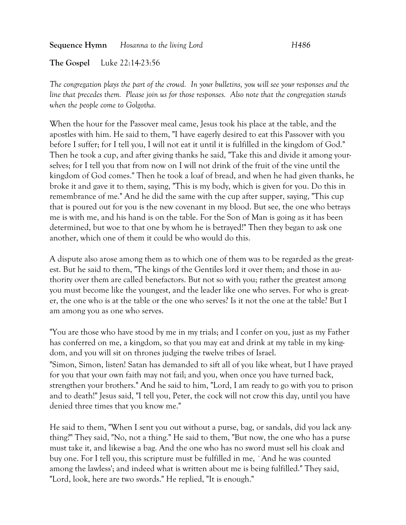**Sequence Hymn** *Hosanna to the living Lord H486*

**The Gospel** Luke 22:14-23:56

*The congregation plays the part of the crowd. In your bulletins, you will see your responses and the line that precedes them. Please join us for those responses. Also note that the congregation stands when the people come to Golgotha.*

When the hour for the Passover meal came, Jesus took his place at the table, and the apostles with him. He said to them, "I have eagerly desired to eat this Passover with you before I suffer; for I tell you, I will not eat it until it is fulfilled in the kingdom of God." Then he took a cup, and after giving thanks he said, "Take this and divide it among yourselves; for I tell you that from now on I will not drink of the fruit of the vine until the kingdom of God comes." Then he took a loaf of bread, and when he had given thanks, he broke it and gave it to them, saying, "This is my body, which is given for you. Do this in remembrance of me." And he did the same with the cup after supper, saying, "This cup that is poured out for you is the new covenant in my blood. But see, the one who betrays me is with me, and his hand is on the table. For the Son of Man is going as it has been determined, but woe to that one by whom he is betrayed!" Then they began to ask one another, which one of them it could be who would do this.

A dispute also arose among them as to which one of them was to be regarded as the greatest. But he said to them, "The kings of the Gentiles lord it over them; and those in authority over them are called benefactors. But not so with you; rather the greatest among you must become like the youngest, and the leader like one who serves. For who is greater, the one who is at the table or the one who serves? Is it not the one at the table? But I am among you as one who serves.

"You are those who have stood by me in my trials; and I confer on you, just as my Father has conferred on me, a kingdom, so that you may eat and drink at my table in my kingdom, and you will sit on thrones judging the twelve tribes of Israel.

"Simon, Simon, listen! Satan has demanded to sift all of you like wheat, but I have prayed for you that your own faith may not fail; and you, when once you have turned back, strengthen your brothers." And he said to him, "Lord, I am ready to go with you to prison and to death!" Jesus said, "I tell you, Peter, the cock will not crow this day, until you have denied three times that you know me."

He said to them, "When I sent you out without a purse, bag, or sandals, did you lack anything?" They said, "No, not a thing." He said to them, "But now, the one who has a purse must take it, and likewise a bag. And the one who has no sword must sell his cloak and buy one. For I tell you, this scripture must be fulfilled in me, `And he was counted among the lawless'; and indeed what is written about me is being fulfilled." They said, "Lord, look, here are two swords." He replied, "It is enough."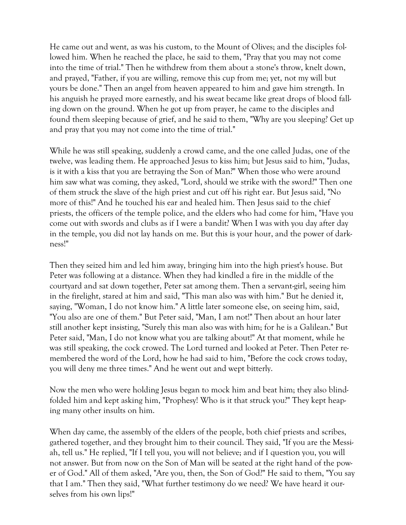He came out and went, as was his custom, to the Mount of Olives; and the disciples followed him. When he reached the place, he said to them, "Pray that you may not come into the time of trial." Then he withdrew from them about a stone's throw, knelt down, and prayed, "Father, if you are willing, remove this cup from me; yet, not my will but yours be done." Then an angel from heaven appeared to him and gave him strength. In his anguish he prayed more earnestly, and his sweat became like great drops of blood falling down on the ground. When he got up from prayer, he came to the disciples and found them sleeping because of grief, and he said to them, "Why are you sleeping? Get up and pray that you may not come into the time of trial."

While he was still speaking, suddenly a crowd came, and the one called Judas, one of the twelve, was leading them. He approached Jesus to kiss him; but Jesus said to him, "Judas, is it with a kiss that you are betraying the Son of Man?" When those who were around him saw what was coming, they asked, "Lord, should we strike with the sword?" Then one of them struck the slave of the high priest and cut off his right ear. But Jesus said, "No more of this!" And he touched his ear and healed him. Then Jesus said to the chief priests, the officers of the temple police, and the elders who had come for him, "Have you come out with swords and clubs as if I were a bandit? When I was with you day after day in the temple, you did not lay hands on me. But this is your hour, and the power of darkness!"

Then they seized him and led him away, bringing him into the high priest's house. But Peter was following at a distance. When they had kindled a fire in the middle of the courtyard and sat down together, Peter sat among them. Then a servant-girl, seeing him in the firelight, stared at him and said, "This man also was with him." But he denied it, saying, "Woman, I do not know him." A little later someone else, on seeing him, said, "You also are one of them." But Peter said, "Man, I am not!" Then about an hour later still another kept insisting, "Surely this man also was with him; for he is a Galilean." But Peter said, "Man, I do not know what you are talking about!" At that moment, while he was still speaking, the cock crowed. The Lord turned and looked at Peter. Then Peter remembered the word of the Lord, how he had said to him, "Before the cock crows today, you will deny me three times." And he went out and wept bitterly.

Now the men who were holding Jesus began to mock him and beat him; they also blindfolded him and kept asking him, "Prophesy! Who is it that struck you?" They kept heaping many other insults on him.

When day came, the assembly of the elders of the people, both chief priests and scribes, gathered together, and they brought him to their council. They said, "If you are the Messiah, tell us." He replied, "If I tell you, you will not believe; and if I question you, you will not answer. But from now on the Son of Man will be seated at the right hand of the power of God." All of them asked, "Are you, then, the Son of God?" He said to them, "You say that I am." Then they said, "What further testimony do we need? We have heard it ourselves from his own lips!"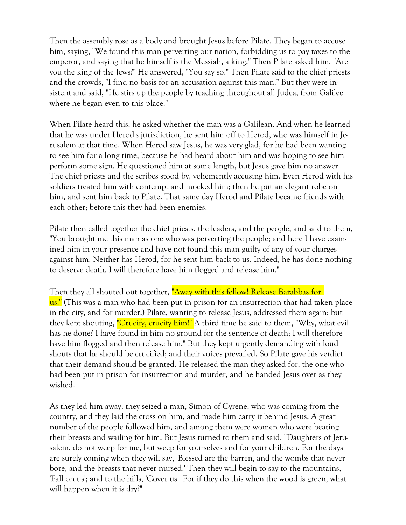Then the assembly rose as a body and brought Jesus before Pilate. They began to accuse him, saying, "We found this man perverting our nation, forbidding us to pay taxes to the emperor, and saying that he himself is the Messiah, a king." Then Pilate asked him, "Are you the king of the Jews?" He answered, "You say so." Then Pilate said to the chief priests and the crowds, "I find no basis for an accusation against this man." But they were insistent and said, "He stirs up the people by teaching throughout all Judea, from Galilee where he began even to this place."

When Pilate heard this, he asked whether the man was a Galilean. And when he learned that he was under Herod's jurisdiction, he sent him off to Herod, who was himself in Jerusalem at that time. When Herod saw Jesus, he was very glad, for he had been wanting to see him for a long time, because he had heard about him and was hoping to see him perform some sign. He questioned him at some length, but Jesus gave him no answer. The chief priests and the scribes stood by, vehemently accusing him. Even Herod with his soldiers treated him with contempt and mocked him; then he put an elegant robe on him, and sent him back to Pilate. That same day Herod and Pilate became friends with each other; before this they had been enemies.

Pilate then called together the chief priests, the leaders, and the people, and said to them, "You brought me this man as one who was perverting the people; and here I have examined him in your presence and have not found this man guilty of any of your charges against him. Neither has Herod, for he sent him back to us. Indeed, he has done nothing to deserve death. I will therefore have him flogged and release him."

Then they all shouted out together, "Away with this fellow! Release Barabbas for us!" (This was a man who had been put in prison for an insurrection that had taken place in the city, and for murder.) Pilate, wanting to release Jesus, addressed them again; but they kept shouting, "Crucify, crucify him!" A third time he said to them, "Why, what evil has he done? I have found in him no ground for the sentence of death; I will therefore have him flogged and then release him." But they kept urgently demanding with loud shouts that he should be crucified; and their voices prevailed. So Pilate gave his verdict that their demand should be granted. He released the man they asked for, the one who had been put in prison for insurrection and murder, and he handed Jesus over as they wished.

As they led him away, they seized a man, Simon of Cyrene, who was coming from the country, and they laid the cross on him, and made him carry it behind Jesus. A great number of the people followed him, and among them were women who were beating their breasts and wailing for him. But Jesus turned to them and said, "Daughters of Jerusalem, do not weep for me, but weep for yourselves and for your children. For the days are surely coming when they will say, 'Blessed are the barren, and the wombs that never bore, and the breasts that never nursed.' Then they will begin to say to the mountains, 'Fall on us'; and to the hills, 'Cover us.' For if they do this when the wood is green, what will happen when it is dry?"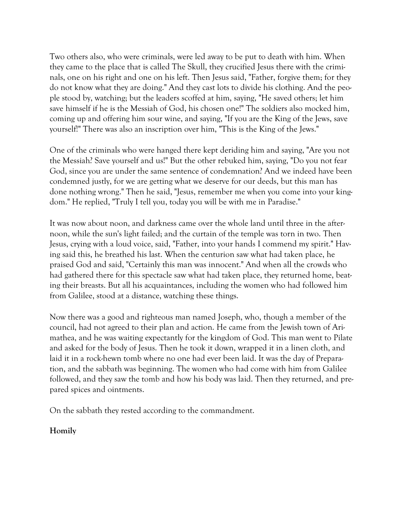Two others also, who were criminals, were led away to be put to death with him. When they came to the place that is called The Skull, they crucified Jesus there with the criminals, one on his right and one on his left. Then Jesus said, "Father, forgive them; for they do not know what they are doing." And they cast lots to divide his clothing. And the people stood by, watching; but the leaders scoffed at him, saying, "He saved others; let him save himself if he is the Messiah of God, his chosen one!" The soldiers also mocked him, coming up and offering him sour wine, and saying, "If you are the King of the Jews, save yourself!" There was also an inscription over him, "This is the King of the Jews."

One of the criminals who were hanged there kept deriding him and saying, "Are you not the Messiah? Save yourself and us!" But the other rebuked him, saying, "Do you not fear God, since you are under the same sentence of condemnation? And we indeed have been condemned justly, for we are getting what we deserve for our deeds, but this man has done nothing wrong." Then he said, "Jesus, remember me when you come into your kingdom." He replied, "Truly I tell you, today you will be with me in Paradise."

It was now about noon, and darkness came over the whole land until three in the afternoon, while the sun's light failed; and the curtain of the temple was torn in two. Then Jesus, crying with a loud voice, said, "Father, into your hands I commend my spirit." Having said this, he breathed his last. When the centurion saw what had taken place, he praised God and said, "Certainly this man was innocent." And when all the crowds who had gathered there for this spectacle saw what had taken place, they returned home, beating their breasts. But all his acquaintances, including the women who had followed him from Galilee, stood at a distance, watching these things.

Now there was a good and righteous man named Joseph, who, though a member of the council, had not agreed to their plan and action. He came from the Jewish town of Arimathea, and he was waiting expectantly for the kingdom of God. This man went to Pilate and asked for the body of Jesus. Then he took it down, wrapped it in a linen cloth, and laid it in a rock-hewn tomb where no one had ever been laid. It was the day of Preparation, and the sabbath was beginning. The women who had come with him from Galilee followed, and they saw the tomb and how his body was laid. Then they returned, and prepared spices and ointments.

On the sabbath they rested according to the commandment.

**Homily**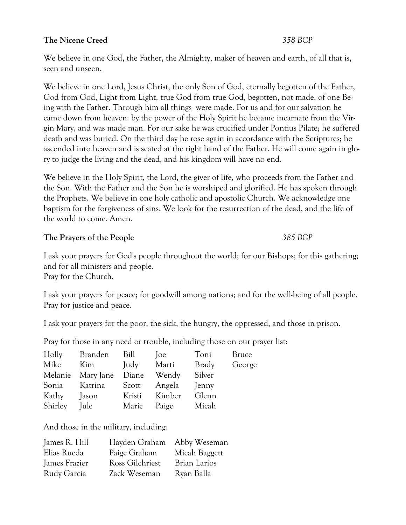#### **The Nicene Creed** *358 BCP*

We believe in one God, the Father, the Almighty, maker of heaven and earth, of all that is, seen and unseen.

We believe in one Lord, Jesus Christ, the only Son of God, eternally begotten of the Father, God from God, Light from Light, true God from true God, begotten, not made, of one Being with the Father. Through him all things were made. For us and for our salvation he came down from heaven: by the power of the Holy Spirit he became incarnate from the Virgin Mary, and was made man. For our sake he was crucified under Pontius Pilate; he suffered death and was buried. On the third day he rose again in accordance with the Scriptures; he ascended into heaven and is seated at the right hand of the Father. He will come again in glory to judge the living and the dead, and his kingdom will have no end.

We believe in the Holy Spirit, the Lord, the giver of life, who proceeds from the Father and the Son. With the Father and the Son he is worshiped and glorified. He has spoken through the Prophets. We believe in one holy catholic and apostolic Church. We acknowledge one baptism for the forgiveness of sins. We look for the resurrection of the dead, and the life of the world to come. Amen.

#### **The Prayers of the People** *385 BCP*

I ask your prayers for God's people throughout the world; for our Bishops; for this gathering; and for all ministers and people.

Pray for the Church.

I ask your prayers for peace; for goodwill among nations; and for the well-being of all people. Pray for justice and peace.

I ask your prayers for the poor, the sick, the hungry, the oppressed, and those in prison.

Pray for those in any need or trouble, including those on our prayer list:

| Holly   | Branden Bill                  |        | loe               | Toni         | Bruce  |
|---------|-------------------------------|--------|-------------------|--------------|--------|
| Mike    | Kim                           | Judy   | Marti             | Brady        | George |
|         | Melanie Mary Jane Diane Wendy |        |                   | Silver       |        |
| Sonia   | Katrina                       |        | Scott Angela      | <b>Jenny</b> |        |
| Kathy   | Jason                         | Kristi | Kimber            | Glenn        |        |
| Shirley | Iule                          |        | Marie Paige Micah |              |        |

And those in the military, including:

| Hayden Graham   | Abby Weseman        |
|-----------------|---------------------|
| Paige Graham    | Micah Baggett       |
| Ross Gilchriest | <b>Brian Larios</b> |
| Zack Weseman    | Ryan Balla          |
|                 |                     |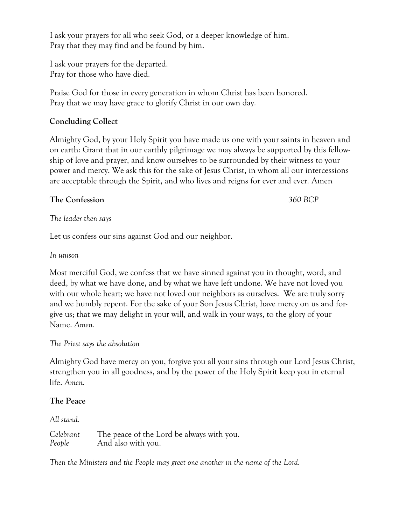I ask your prayers for all who seek God, or a deeper knowledge of him. Pray that they may find and be found by him.

I ask your prayers for the departed. Pray for those who have died.

Praise God for those in every generation in whom Christ has been honored. Pray that we may have grace to glorify Christ in our own day.

#### **Concluding Collect**

Almighty God, by your Holy Spirit you have made us one with your saints in heaven and on earth: Grant that in our earthly pilgrimage we may always be supported by this fellowship of love and prayer, and know ourselves to be surrounded by their witness to your power and mercy. We ask this for the sake of Jesus Christ, in whom all our intercessions are acceptable through the Spirit, and who lives and reigns for ever and ever. Amen

#### **The Confession** *360 BCP*

*The leader then says*

Let us confess our sins against God and our neighbor.

*In unison*

Most merciful God, we confess that we have sinned against you in thought, word, and deed, by what we have done, and by what we have left undone. We have not loved you with our whole heart; we have not loved our neighbors as ourselves. We are truly sorry and we humbly repent. For the sake of your Son Jesus Christ, have mercy on us and forgive us; that we may delight in your will, and walk in your ways, to the glory of your Name. *Amen.* 

#### *The Priest says the absolution*

Almighty God have mercy on you, forgive you all your sins through our Lord Jesus Christ, strengthen you in all goodness, and by the power of the Holy Spirit keep you in eternal life. *Amen.*

#### **The Peace**

*All stand. Celebrant* The peace of the Lord be always with you. *People* And also with you.

*Then the Ministers and the People may greet one another in the name of the Lord.*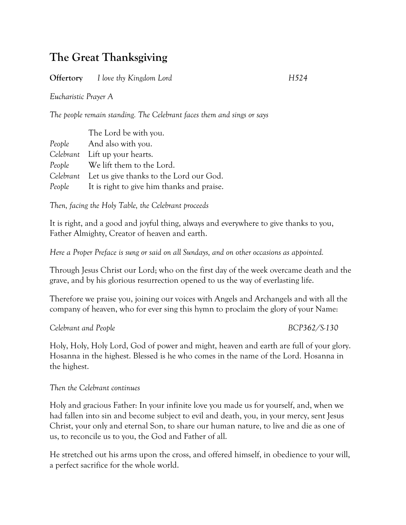# **The Great Thanksgiving**

#### **Offertory** *I love thy Kingdom Lord H524*

*Eucharistic Prayer A*

*The people remain standing. The Celebrant faces them and sings or says*

|        | The Lord be with you.                             |
|--------|---------------------------------------------------|
| People | And also with you.                                |
|        | Celebrant Lift up your hearts.                    |
|        | People We lift them to the Lord.                  |
|        | Celebrant Let us give thanks to the Lord our God. |
|        | People It is right to give him thanks and praise. |

*Then, facing the Holy Table, the Celebrant proceeds*

It is right, and a good and joyful thing, always and everywhere to give thanks to you, Father Almighty, Creator of heaven and earth.

*Here a Proper Preface is sung or said on all Sundays, and on other occasions as appointed.* 

Through Jesus Christ our Lord; who on the first day of the week overcame death and the grave, and by his glorious resurrection opened to us the way of everlasting life.

Therefore we praise you, joining our voices with Angels and Archangels and with all the company of heaven, who for ever sing this hymn to proclaim the glory of your Name:

#### *Celebrant and People BCP362/S-130*

Holy, Holy, Holy Lord, God of power and might, heaven and earth are full of your glory. Hosanna in the highest. Blessed is he who comes in the name of the Lord. Hosanna in the highest.

#### *Then the Celebrant continues*

Holy and gracious Father: In your infinite love you made us for yourself, and, when we had fallen into sin and become subject to evil and death, you, in your mercy, sent Jesus Christ, your only and eternal Son, to share our human nature, to live and die as one of us, to reconcile us to you, the God and Father of all.

He stretched out his arms upon the cross, and offered himself, in obedience to your will, a perfect sacrifice for the whole world.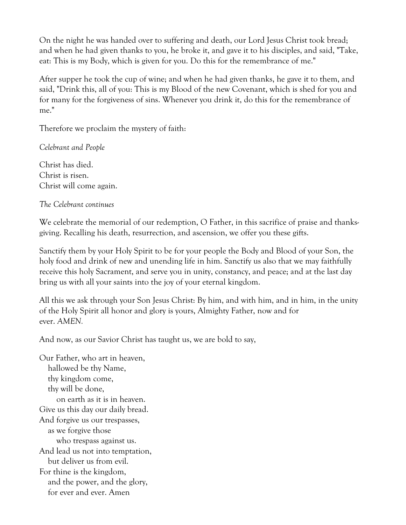On the night he was handed over to suffering and death, our Lord Jesus Christ took bread; and when he had given thanks to you, he broke it, and gave it to his disciples, and said, "Take, eat: This is my Body, which is given for you. Do this for the remembrance of me."

After supper he took the cup of wine; and when he had given thanks, he gave it to them, and said, "Drink this, all of you: This is my Blood of the new Covenant, which is shed for you and for many for the forgiveness of sins. Whenever you drink it, do this for the remembrance of me."

Therefore we proclaim the mystery of faith:

*Celebrant and People*

Christ has died. Christ is risen. Christ will come again.

*The Celebrant continues*

We celebrate the memorial of our redemption, O Father, in this sacrifice of praise and thanksgiving. Recalling his death, resurrection, and ascension, we offer you these gifts.

Sanctify them by your Holy Spirit to be for your people the Body and Blood of your Son, the holy food and drink of new and unending life in him. Sanctify us also that we may faithfully receive this holy Sacrament, and serve you in unity, constancy, and peace; and at the last day bring us with all your saints into the joy of your eternal kingdom.

All this we ask through your Son Jesus Christ: By him, and with him, and in him, in the unity of the Holy Spirit all honor and glory is yours, Almighty Father, now and for ever. *AMEN.*

And now, as our Savior Christ has taught us, we are bold to say,

Our Father, who art in heaven, hallowed be thy Name, thy kingdom come, thy will be done, on earth as it is in heaven. Give us this day our daily bread. And forgive us our trespasses, as we forgive those who trespass against us. And lead us not into temptation, but deliver us from evil. For thine is the kingdom, and the power, and the glory, for ever and ever. Amen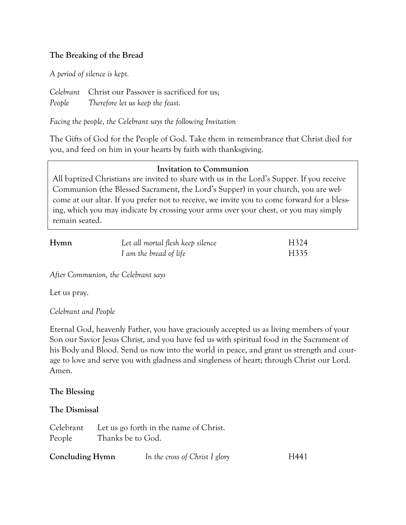### **The Breaking of the Bread**

*A period of silence is kept.*

*Celebrant* Christ our Passover is sacrificed for us; *People Therefore let us keep the feast.* 

*Facing the people, the Celebrant says the following Invitation*

The Gifts of God for the People of God. Take them in remembrance that Christ died for you, and feed on him in your hearts by faith with thanksgiving.

#### **Invitation to Communion**

All baptized Christians are invited to share with us in the Lord's Supper. If you receive Communion (the Blessed Sacrament, the Lord's Supper) in your church, you are welcome at our altar. If you prefer not to receive, we invite you to come forward for a blessing, which you may indicate by crossing your arms over your chest, or you may simply remain seated.

| Hymn | Let all mortal flesh keep silence | H <sub>324</sub> |
|------|-----------------------------------|------------------|
|      | I am the bread of life            | H335             |

*After Communion, the Celebrant says*

Let us pray.

*Celebrant and People*

Eternal God, heavenly Father, you have graciously accepted us as living members of your Son our Savior Jesus Christ, and you have fed us with spiritual food in the Sacrament of his Body and Blood. Send us now into the world in peace, and grant us strength and courage to love and serve you with gladness and singleness of heart; through Christ our Lord. Amen.

#### **The Blessing**

#### **The Dismissal**

| Celebrant | Let us go forth in the name of Christ. |
|-----------|----------------------------------------|
| People    | Thanks be to God.                      |

| <b>Concluding Hymn</b> | In the cross of Christ I glory | H441 |
|------------------------|--------------------------------|------|
|------------------------|--------------------------------|------|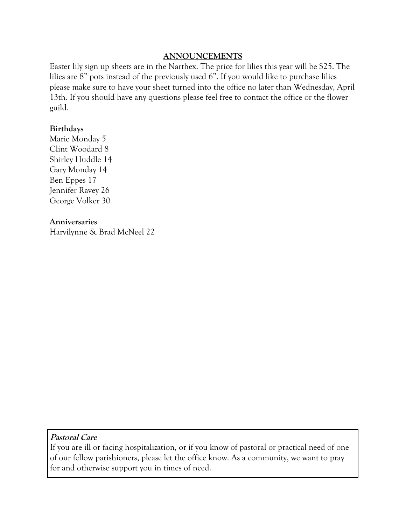#### **ANNOUNCEMENTS**

Easter lily sign up sheets are in the Narthex. The price for lilies this year will be \$25. The lilies are 8" pots instead of the previously used 6". If you would like to purchase lilies please make sure to have your sheet turned into the office no later than Wednesday, April 13th. If you should have any questions please feel free to contact the office or the flower guild.

#### **Birthdays**

Marie Monday 5 Clint Woodard 8 Shirley Huddle 14 Gary Monday 14 Ben Eppes 17 Jennifer Ravey 26 George Volker 30

#### **Anniversaries**

Harvilynne & Brad McNeel 22

#### **Pastoral Care**

If you are ill or facing hospitalization, or if you know of pastoral or practical need of one of our fellow parishioners, please let the office know. As a community, we want to pray for and otherwise support you in times of need.